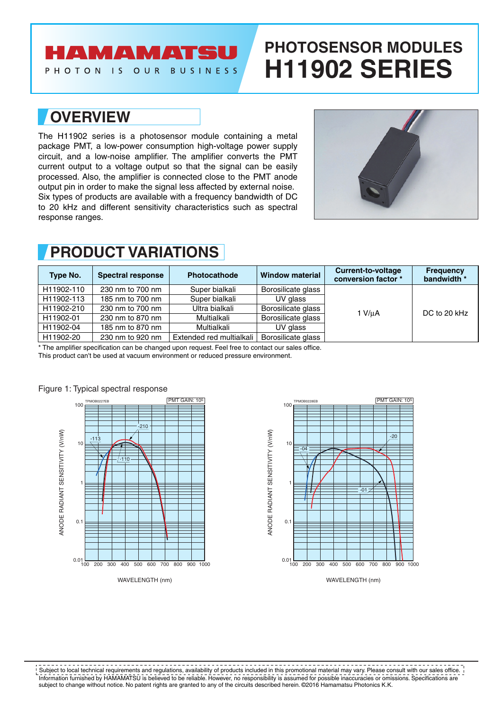# **AMAMATSU**

PHOTON IS OUR BUSINESS

# **PHOTOSENSOR MODULES H11902 SERIES**

### **OVERVIEW**

The H11902 series is a photosensor module containing a metal package PMT, a low-power consumption high-voltage power supply circuit, and a low-noise amplifier. The amplifier converts the PMT current output to a voltage output so that the signal can be easily processed. Also, the amplifier is connected close to the PMT anode output pin in order to make the signal less affected by external noise. Six types of products are available with a frequency bandwidth of DC to 20 kHz and different sensitivity characteristics such as spectral response ranges.



### **PRODUCT VARIATIONS**

| Type No.   | <b>Spectral response</b> | Photocathode             | <b>Window material</b> | Current-to-voltage<br>conversion factor * | <b>Frequency</b><br>bandwidth * |
|------------|--------------------------|--------------------------|------------------------|-------------------------------------------|---------------------------------|
| H11902-110 | 230 nm to 700 nm         | Super bialkali           | Borosilicate glass     |                                           | DC to 20 kHz                    |
| H11902-113 | 185 nm to 700 nm         | Super bialkali           | UV glass               |                                           |                                 |
| H11902-210 | 230 nm to 700 nm         | Ultra bialkali           | Borosilicate glass     | 1 V/uA                                    |                                 |
| H11902-01  | 230 nm to 870 nm         | Multialkali              | Borosilicate glass     |                                           |                                 |
| H11902-04  | 185 nm to 870 nm         | Multialkali              | UV glass               |                                           |                                 |
| H11902-20  | 230 nm to 920 nm         | Extended red multialkali | Borosilicate glass     |                                           |                                 |

\* The amplifier specification can be changed upon request. Feel free to contact our sales office.

This product can't be used at vacuum environment or reduced pressure environment.





#### Figure 1: Typical spectral response

Information furnished by HAMAMATSU is believed to be reliable. However, no responsibility is assumed for possible inaccuracies or omissions. Specifications are subject to change without notice. No patent rights are granted to any of the circuits described herein. ©2016 Hamamatsu Photonics K.K. Subject to local technical requirements and regulations, availability of products included in this promotional material may vary. Please consult with our sales office.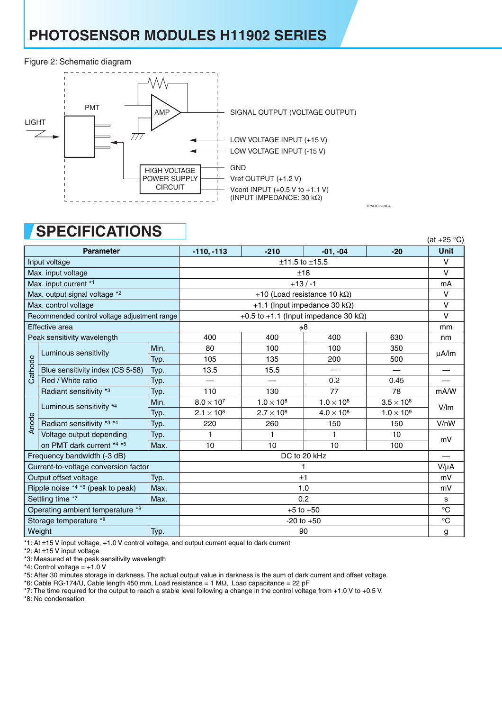# **PHOTOSENSOR MODULES H11902 SERIES**

#### Figure 2: Schematic diagram



### **SPECIFICATIONS**

|                                  |                                              |                    |                          |                                       |                                               | <i>(αι</i> ⊤∠∪ ∪)                       |                          |
|----------------------------------|----------------------------------------------|--------------------|--------------------------|---------------------------------------|-----------------------------------------------|-----------------------------------------|--------------------------|
|                                  | <b>Parameter</b>                             |                    | $-110, -113$             | $-210$                                | $-01, -04$                                    | $-20$                                   | <b>Unit</b>              |
| Input voltage                    |                                              |                    | $±11.5$ to $±15.5$       |                                       |                                               |                                         |                          |
| Max. input voltage               |                                              |                    | ±18                      |                                       |                                               |                                         |                          |
| Max. input current *1            |                                              |                    | $+13/ -1$                |                                       |                                               |                                         |                          |
|                                  | Max. output signal voltage *2                |                    |                          | +10 (Load resistance 10 k $\Omega$ )  |                                               |                                         | $\vee$                   |
|                                  | Max. control voltage                         |                    |                          | +1.1 (Input impedance 30 k $\Omega$ ) |                                               |                                         | $\vee$                   |
|                                  | Recommended control voltage adjustment range |                    |                          |                                       | +0.5 to +1.1 (Input impedance 30 k $\Omega$ ) |                                         | $\vee$                   |
|                                  | Effective area                               |                    |                          | mm                                    |                                               |                                         |                          |
| Peak sensitivity wavelength      |                                              |                    | 400                      | 400                                   | 400                                           | 630                                     | nm                       |
|                                  | Luminous sensitivity                         | Min.               | 80                       | 100                                   | 100                                           | 350                                     |                          |
|                                  |                                              | Typ.               | 105                      | 135                                   | 200                                           | 500                                     | μA/lm                    |
| Cathode                          | Blue sensitivity index (CS 5-58)             | Typ.               | 13.5                     | 15.5                                  |                                               |                                         |                          |
|                                  | Red / White ratio                            | Typ.               | $\overline{\phantom{0}}$ |                                       | 0.2                                           | 0.45                                    |                          |
|                                  | Radiant sensitivity *3                       | Typ.               | 110                      | 130                                   | 77                                            | 78                                      | mA/W                     |
|                                  | Luminous sensitivity *4                      | Min.               | $8.0 \times 10^{7}$      | $1.0 \times 10^8$                     | $1.0 \times 10^{8}$                           | $3.5 \times 10^8$                       |                          |
|                                  |                                              | Typ.               | $2.1 \times 10^{8}$      | $2.7 \times 10^{8}$                   | $4.0 \times 10^8$                             | $1.0 \times 10^{9}$<br>150<br>10<br>100 | V/m                      |
| Anode                            | Radiant sensitivity *3 *4                    | Typ.               | 220                      | 260                                   | 150                                           |                                         | V/nW                     |
|                                  | Voltage output depending                     | Typ.               |                          |                                       |                                               |                                         | mV                       |
|                                  | on PMT dark current *4 *5                    | Max.               | 10                       | 10                                    | 10                                            |                                         |                          |
|                                  | Frequency bandwidth (-3 dB)                  |                    |                          | DC to 20 kHz                          |                                               |                                         | $\overline{\phantom{0}}$ |
|                                  | Current-to-voltage conversion factor         |                    |                          |                                       |                                               |                                         | $V/\mu A$                |
|                                  | Output offset voltage                        | Typ.               |                          | ±1                                    |                                               | mV                                      |                          |
|                                  | Ripple noise *4 *6 (peak to peak)            | Max.               |                          |                                       |                                               |                                         | mV                       |
|                                  | Settling time *7                             | 1.0<br>Max.<br>0.2 |                          |                                       | s                                             |                                         |                          |
| Operating ambient temperature *8 |                                              | $+5$ to $+50$      |                          |                                       |                                               |                                         |                          |
| Storage temperature *8           |                                              |                    | $-20$ to $+50$           |                                       |                                               |                                         |                          |
| Weight<br>Typ.                   |                                              |                    | 90                       |                                       |                                               |                                         |                          |

 $(A+1)$  $(25)$ 

TPMOC0269EA

\*1: At ±15 V input voltage, +1.0 V control voltage, and output current equal to dark current

\*2: At ±15 V input voltage

\*3: Measured at the peak sensitivity wavelength

 $*4$ : Control voltage = +1.0 V

\*5: After 30 minutes storage in darkness. The actual output value in darkness is the sum of dark current and offset voltage.

\*6: Cable RG-174/U, Cable length 450 mm, Load resistance = 1 MΩ, Load capacitance = 22 pF

\*7: The time required for the output to reach a stable level following a change in the control voltage from +1.0 V to +0.5 V.

\*8: No condensation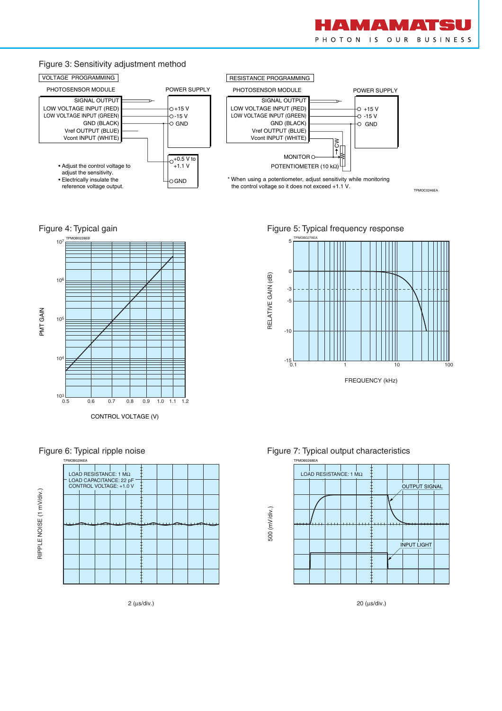

TPMOC0246EA

#### Figure 3: Sensitivity adjustment method



Figure 4: Typical gain







2 (µs/div.)

Figure 5: Typical frequency response







20 (µs/div.)